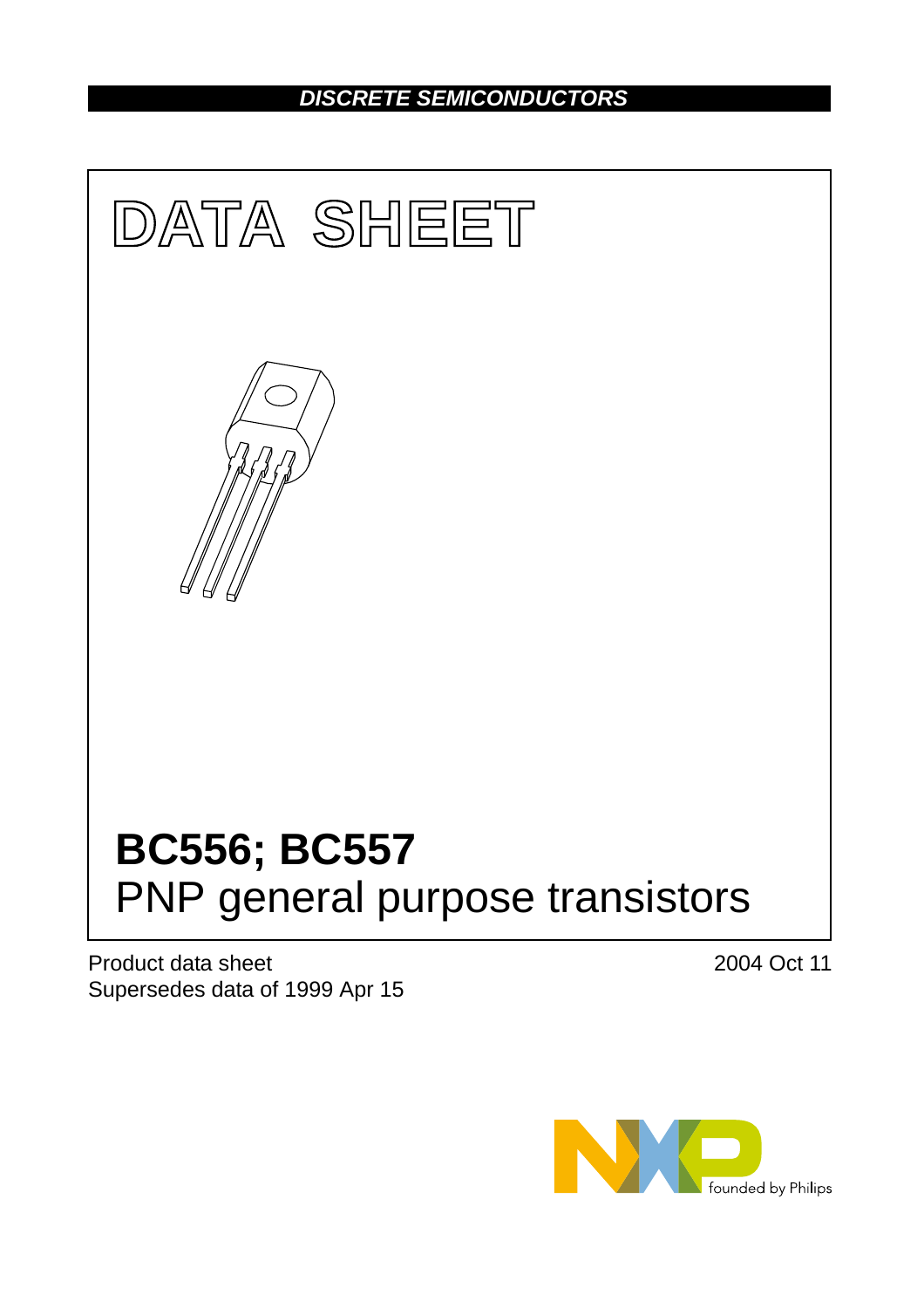# *DISCRETE SEMICONDUCTORS*



Product data sheet Supersedes data of 1999 Apr 15 2004 Oct 11

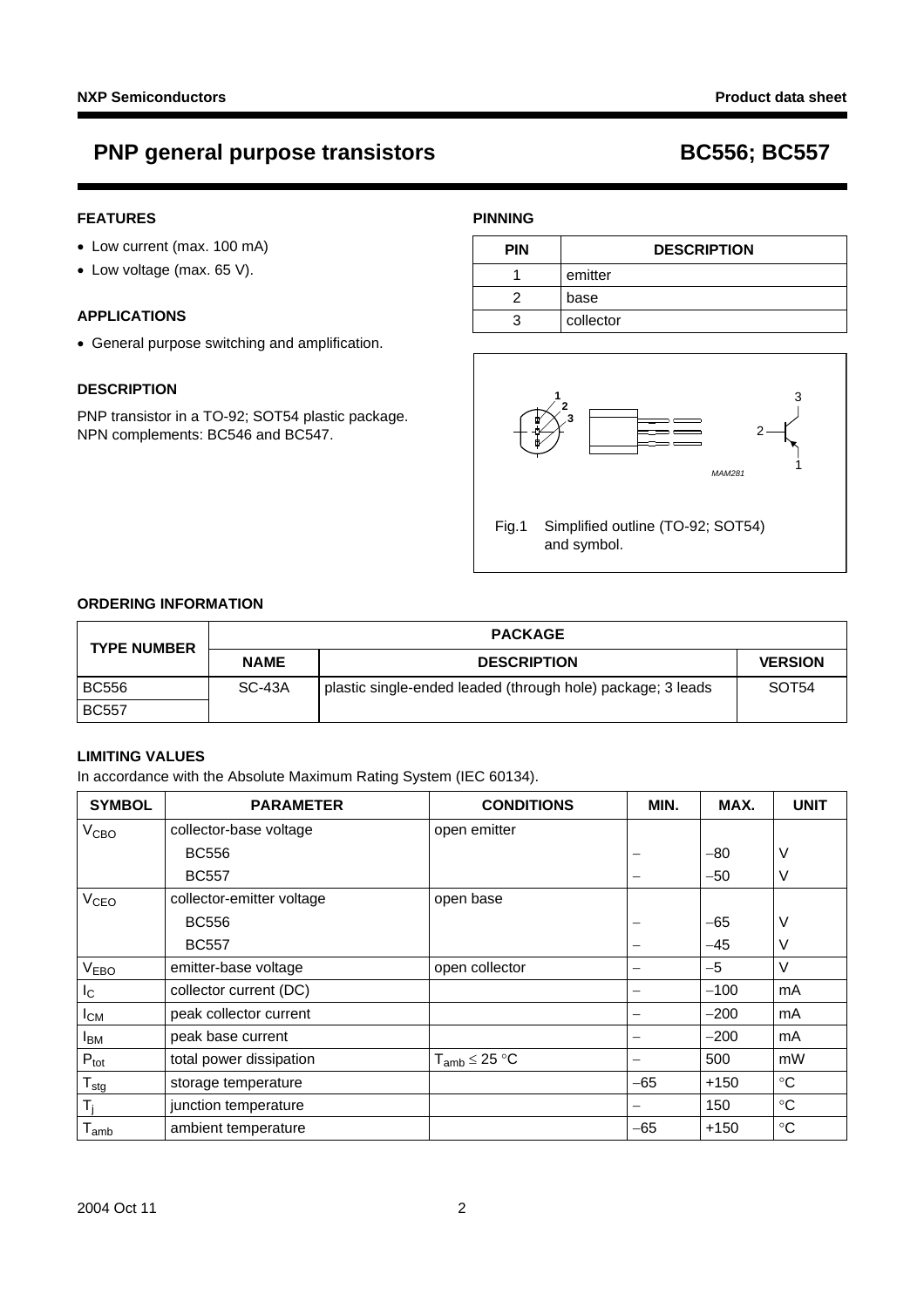# **PNP general purpose transistors BC556; BC557**

## **FEATURES**

- Low current (max. 100 mA)
- Low voltage (max. 65 V).

## **APPLICATIONS**

• General purpose switching and amplification.

## **DESCRIPTION**

PNP transistor in a TO-92; SOT54 plastic package. NPN complements: BC546 and BC547.

## **PINNING**

| <b>PIN</b> | <b>DESCRIPTION</b> |  |
|------------|--------------------|--|
|            | emitter            |  |
|            | base               |  |
| ว          | collector          |  |



## **ORDERING INFORMATION**

| <b>TYPE NUMBER</b> | <b>PACKAGE</b> |                                                             |                   |  |
|--------------------|----------------|-------------------------------------------------------------|-------------------|--|
|                    | <b>NAME</b>    | <b>DESCRIPTION</b>                                          | <b>VERSION</b>    |  |
| <b>BC556</b>       | SC-43A         | plastic single-ended leaded (through hole) package; 3 leads | SOT <sub>54</sub> |  |
| <b>BC557</b>       |                |                                                             |                   |  |

## **LIMITING VALUES**

In accordance with the Absolute Maximum Rating System (IEC 60134).

| <b>SYMBOL</b>          | <b>PARAMETER</b>          | <b>CONDITIONS</b>    | MIN.  | MAX.   | <b>UNIT</b>     |
|------------------------|---------------------------|----------------------|-------|--------|-----------------|
| V <sub>CBO</sub>       | collector-base voltage    | open emitter         |       |        |                 |
|                        | <b>BC556</b>              |                      |       | $-80$  | ٧               |
|                        | <b>BC557</b>              |                      |       | $-50$  | ٧               |
| V <sub>CEO</sub>       | collector-emitter voltage | open base            |       |        |                 |
|                        | <b>BC556</b>              |                      |       | $-65$  | V               |
|                        | <b>BC557</b>              |                      |       | $-45$  | V               |
| V <sub>EBO</sub>       | emitter-base voltage      | open collector       | -     | $-5$   | $\vee$          |
| I <sub>C</sub>         | collector current (DC)    |                      |       | $-100$ | mA              |
| $I_{CM}$               | peak collector current    |                      |       | $-200$ | mA              |
| <b>I</b> <sub>BM</sub> | peak base current         |                      |       | $-200$ | mA              |
| $P_{\text{tot}}$       | total power dissipation   | $T_{amb} \leq 25 °C$ | -     | 500    | mW              |
| $T_{\text{stg}}$       | storage temperature       |                      | $-65$ | $+150$ | $\rm ^{\circ}C$ |
| $T_i$                  | junction temperature      |                      | —     | 150    | $\rm ^{\circ}C$ |
| $T_{amb}$              | ambient temperature       |                      | $-65$ | $+150$ | $\rm ^{\circ}C$ |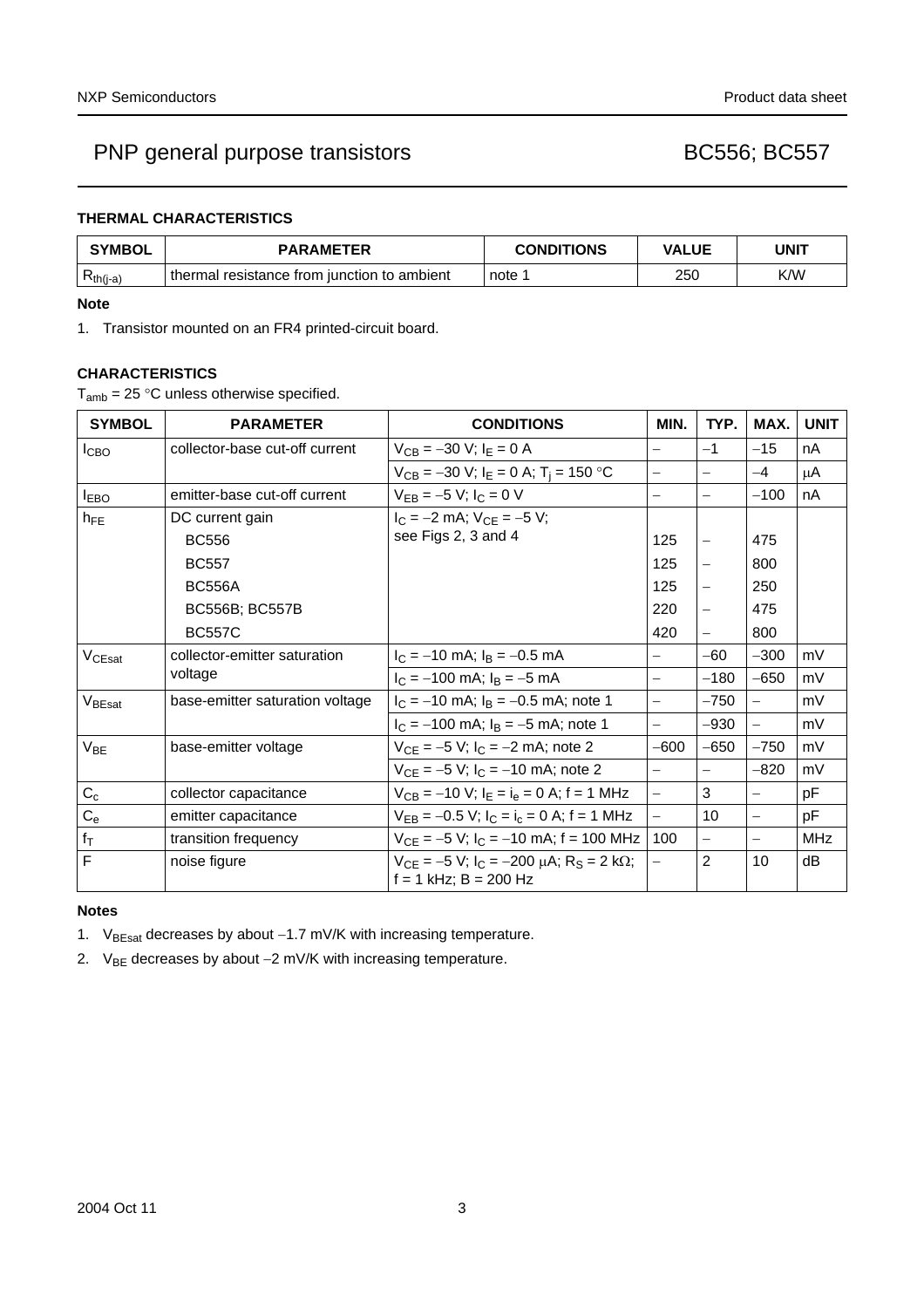## **THERMAL CHARACTERISTICS**

| <b>SYMBOL</b> | <b>PARAMETER</b>                            | <b>CONDITIONS</b> | <b>VALUE</b> | UNIT |
|---------------|---------------------------------------------|-------------------|--------------|------|
| $Rth(j-a)$    | thermal resistance from junction to ambient | note :            | 250          | K/W  |

## **Note**

<span id="page-2-0"></span>1. Transistor mounted on an FR4 printed-circuit board.

## **CHARACTERISTICS**

 $T_{amb}$  = 25 °C unless otherwise specified.

| <b>SYMBOL</b>      | <b>PARAMETER</b>                        | <b>CONDITIONS</b>                                                                       | MIN.                     | TYP.                     | MAX.                     | <b>UNIT</b> |
|--------------------|-----------------------------------------|-----------------------------------------------------------------------------------------|--------------------------|--------------------------|--------------------------|-------------|
| <b>I</b> CBO       | collector-base cut-off current          | $V_{CB} = -30$ V; $I_E = 0$ A                                                           | $=$                      | $-1$                     | $-15$                    | nA          |
|                    |                                         | $V_{CB} = -30$ V; $I_E = 0$ A; T <sub>i</sub> = 150 °C                                  | $\overline{\phantom{0}}$ |                          | $-4$                     | μA          |
| <b>I</b> EBO       | emitter-base cut-off current            | $V_{EB} = -5 V$ ; $I_C = 0 V$                                                           | $\overline{\phantom{0}}$ | $\overline{\phantom{0}}$ | $-100$                   | nA          |
| $h_{FE}$           | DC current gain                         | $I_C = -2$ mA; $V_{CF} = -5$ V;                                                         |                          |                          |                          |             |
|                    | <b>BC556</b>                            | see Figs 2, 3 and 4                                                                     | 125                      |                          | 475                      |             |
|                    | <b>BC557</b>                            |                                                                                         | 125                      | $\qquad \qquad -$        | 800                      |             |
|                    | <b>BC556A</b>                           |                                                                                         | 125                      |                          | 250                      |             |
|                    | <b>BC556B; BC557B</b>                   |                                                                                         | 220                      |                          | 475                      |             |
|                    | <b>BC557C</b>                           |                                                                                         | 420                      |                          | 800                      |             |
| V <sub>CEsat</sub> | collector-emitter saturation<br>voltage | $I_C = -10$ mA; $I_B = -0.5$ mA                                                         | $\equiv$                 | $-60$                    | $-300$                   | mV          |
|                    |                                         | $I_C = -100$ mA; $I_B = -5$ mA                                                          | $\overline{\phantom{0}}$ | $-180$                   | $-650$                   | mV          |
| V <sub>BEsat</sub> | base-emitter saturation voltage         | $I_C = -10$ mA; $I_B = -0.5$ mA; note 1                                                 | $\overline{a}$           | $-750$                   | $-$                      | mV          |
|                    |                                         | $I_C = -100$ mA; $I_B = -5$ mA; note 1                                                  | $\overline{\phantom{0}}$ | $-930$                   | $-$                      | mV          |
| $V_{BE}$           | base-emitter voltage                    | $V_{CE} = -5 V$ ; $I_C = -2 mA$ ; note 2                                                | $-600$                   | $-650$                   | $-750$                   | mV          |
|                    |                                         | $V_{CE} = -5 V$ ; $I_C = -10$ mA; note 2                                                | $\equiv$                 | $\overline{\phantom{m}}$ | $-820$                   | mV          |
| $C_c$              | collector capacitance                   | $V_{CB} = -10$ V; $I_E = I_e = 0$ A; f = 1 MHz                                          | $\equiv$                 | 3                        |                          | рF          |
| $C_{e}$            | emitter capacitance                     | $V_{EB} = -0.5 V$ ; $I_C = I_c = 0 A$ ; f = 1 MHz                                       | $\overline{\phantom{0}}$ | 10                       | $\overline{\phantom{0}}$ | рF          |
| $f_{\rm T}$        | transition frequency                    | $V_{CE} = -5 V$ ; $I_C = -10$ mA; f = 100 MHz                                           | 100                      | $\overline{\phantom{0}}$ |                          | <b>MHz</b>  |
| $\overline{F}$     | noise figure                            | $V_{CF} = -5 V$ ; $I_C = -200 \mu A$ ; $R_S = 2 k\Omega$ ;<br>$f = 1$ kHz; $B = 200$ Hz | $\overline{\phantom{0}}$ | $\overline{2}$           | 10                       | dB          |

## **Notes**

<span id="page-2-1"></span>1. V<sub>BEsat</sub> decreases by about −1.7 mV/K with increasing temperature.

<span id="page-2-2"></span>2. V<sub>BE</sub> decreases by about −2 mV/K with increasing temperature.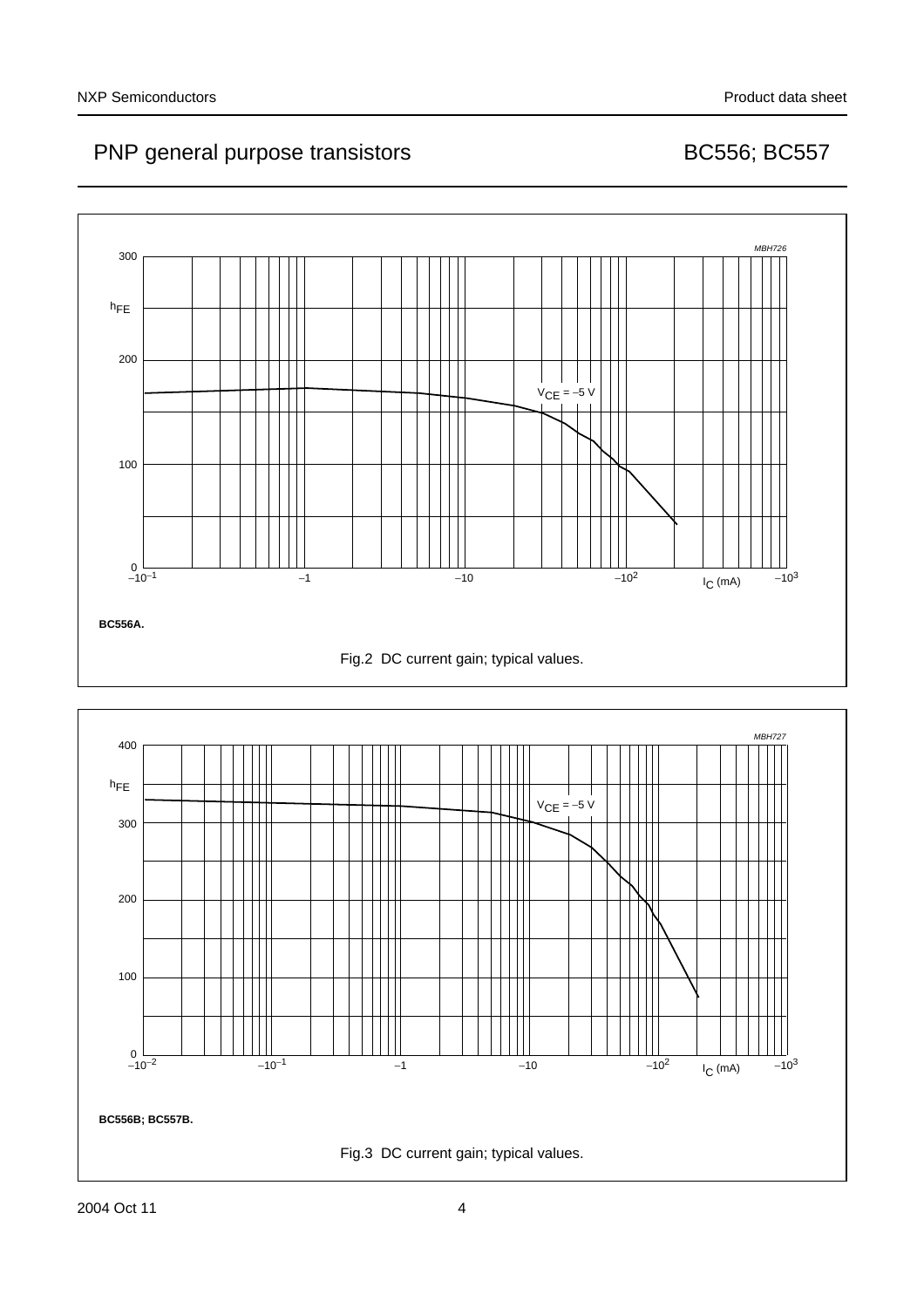

<span id="page-3-1"></span><span id="page-3-0"></span>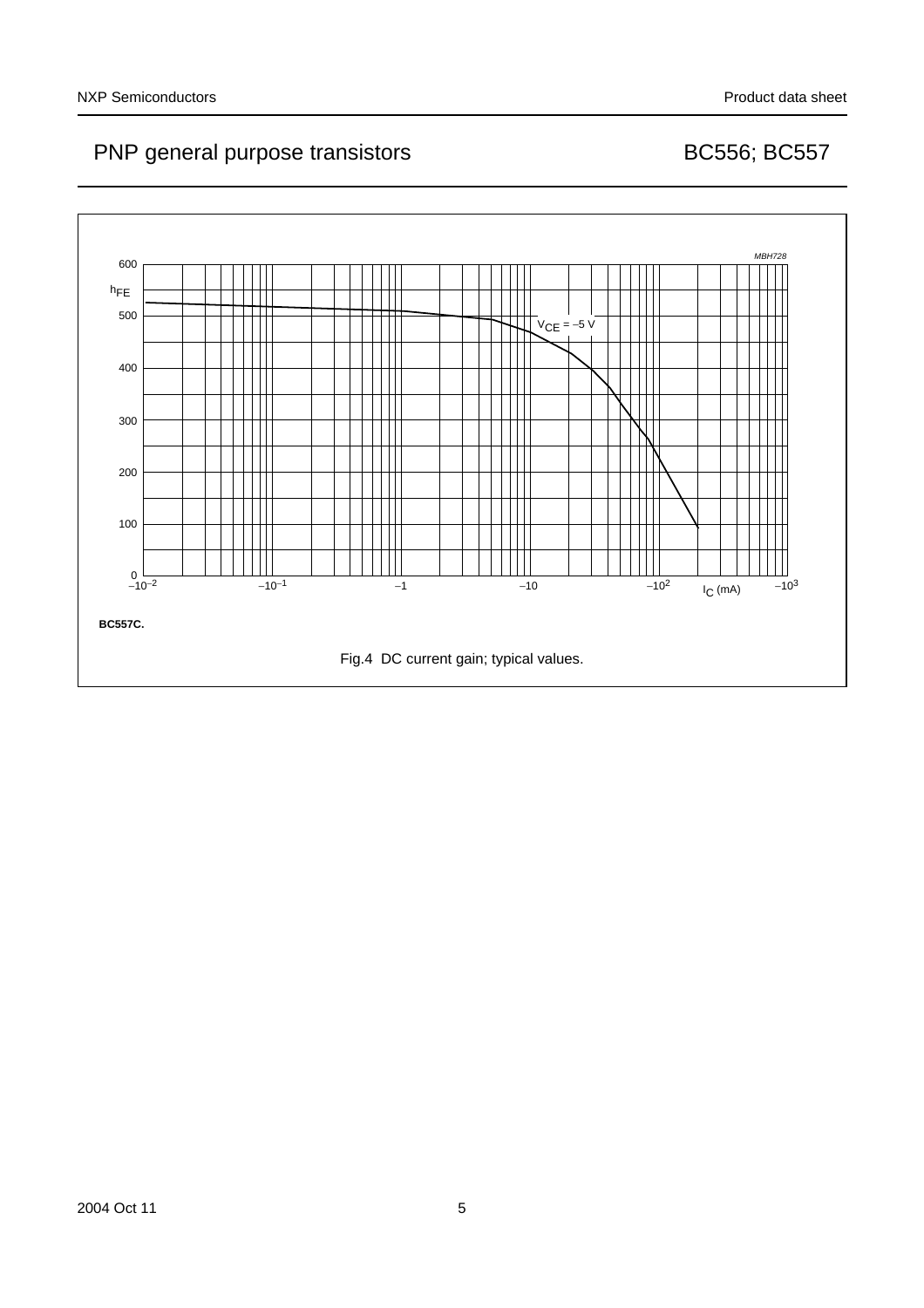<span id="page-4-0"></span>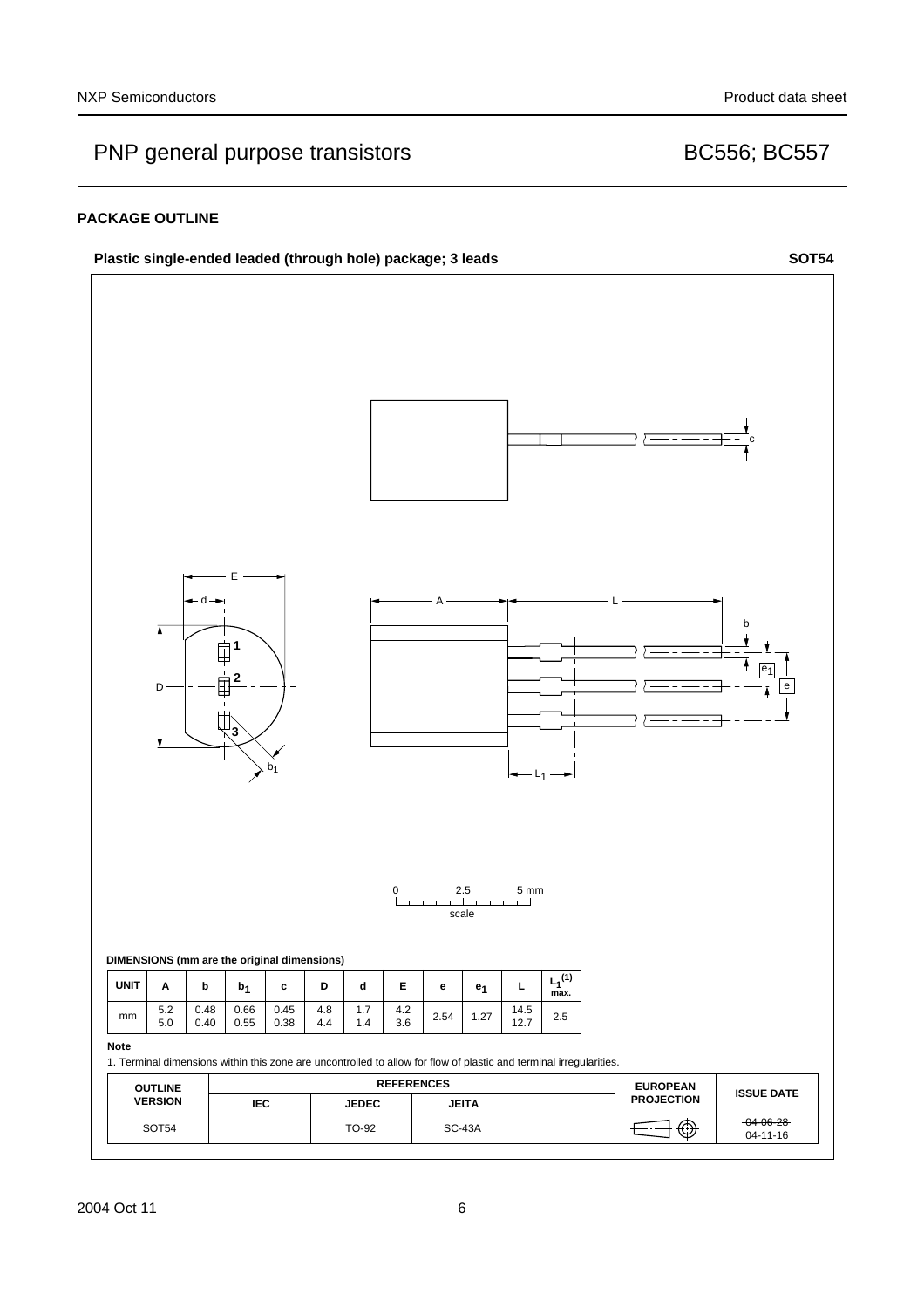## **PACKAGE OUTLINE**

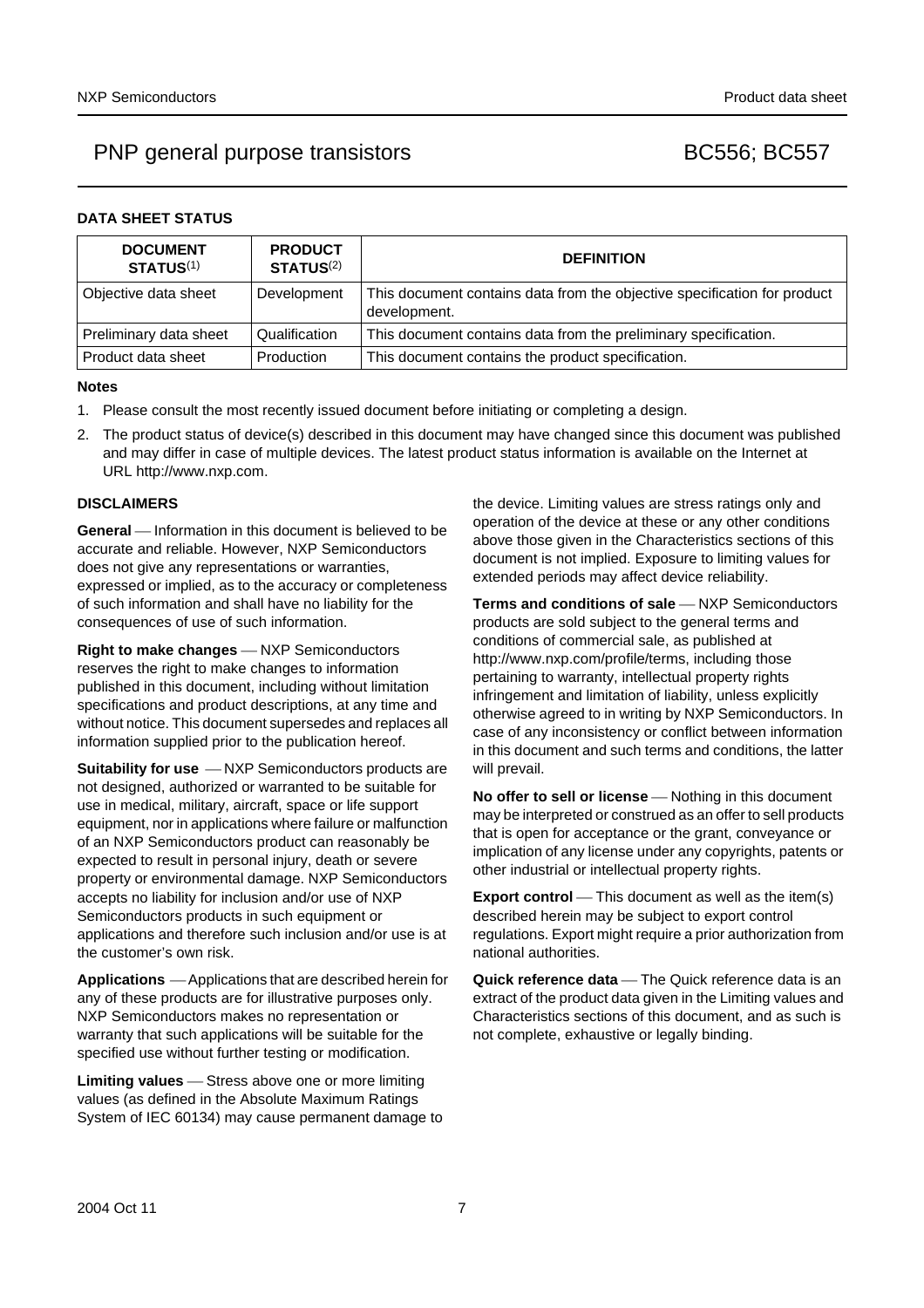## PNP general purpose transistors BC556; BC557

## **DATA SHEET STATUS**

| <b>DOCUMENT</b><br><b>STATUS(1)</b> | <b>PRODUCT</b><br><b>STATUS(2)</b> | <b>DEFINITION</b>                                                                        |
|-------------------------------------|------------------------------------|------------------------------------------------------------------------------------------|
| Objective data sheet                | Development                        | This document contains data from the objective specification for product<br>development. |
| Preliminary data sheet              | Qualification                      | This document contains data from the preliminary specification.                          |
| Product data sheet                  | Production                         | This document contains the product specification.                                        |

## **Notes**

- <span id="page-6-0"></span>1. Please consult the most recently issued document before initiating or completing a design.
- <span id="page-6-1"></span>2. The product status of device(s) described in this document may have changed since this document was published and may differ in case of multiple devices. The latest product status information is available on the Internet at URL http://www.nxp.com.

## **DISCLAIMERS**

**General** – Information in this document is believed to be accurate and reliable. However, NXP Semiconductors does not give any representations or warranties, expressed or implied, as to the accuracy or completeness of such information and shall have no liability for the consequences of use of such information.

**Right to make changes** – NXP Semiconductors reserves the right to make changes to information published in this document, including without limitation specifications and product descriptions, at any time and without notice. This document supersedes and replaces all information supplied prior to the publication hereof.

**Suitability for use**  $-MXP$  Semiconductors products are not designed, authorized or warranted to be suitable for use in medical, military, aircraft, space or life support equipment, nor in applications where failure or malfunction of an NXP Semiconductors product can reasonably be expected to result in personal injury, death or severe property or environmental damage. NXP Semiconductors accepts no liability for inclusion and/or use of NXP Semiconductors products in such equipment or applications and therefore such inclusion and/or use is at the customer's own risk.

**Applications** ⎯ Applications that are described herein for any of these products are for illustrative purposes only. NXP Semiconductors makes no representation or warranty that such applications will be suitable for the specified use without further testing or modification.

**Limiting values** – Stress above one or more limiting values (as defined in the Absolute Maximum Ratings System of IEC 60134) may cause permanent damage to the device. Limiting values are stress ratings only and operation of the device at these or any other conditions above those given in the Characteristics sections of this document is not implied. Exposure to limiting values for extended periods may affect device reliability.

**Terms and conditions of sale** - NXP Semiconductors products are sold subject to the general terms and conditions of commercial sale, as published at http://www.nxp.com/profile/terms, including those pertaining to warranty, intellectual property rights infringement and limitation of liability, unless explicitly [otherwise agreed to in writing by NXP Semiconductors. In](http://www.nxp.com/profile/terms)  case of any inconsistency or conflict between information in this document and such terms and conditions, the latter will prevail.

**No offer to sell or license** – Nothing in this document may be interpreted or construed as an offer to sell products that is open for acceptance or the grant, conveyance or implication of any license under any copyrights, patents or other industrial or intellectual property rights.

**Export control** — This document as well as the item(s) described herein may be subject to export control regulations. Export might require a prior authorization from national authorities.

**Quick reference data** — The Quick reference data is an extract of the product data given in the Limiting values and Characteristics sections of this document, and as such is not complete, exhaustive or legally binding.